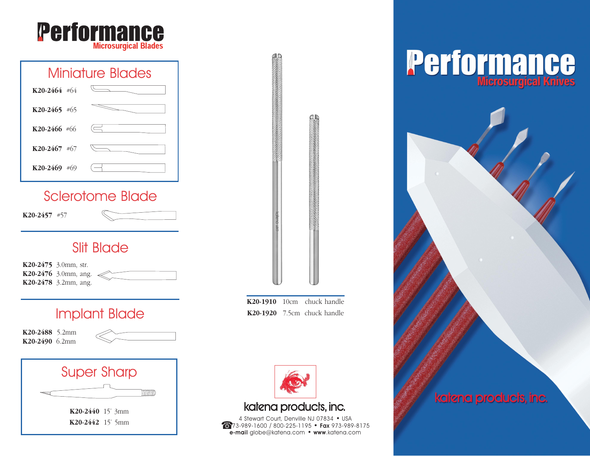

## Miniature Blades **K20-2464** #64 **K20-2465** #65 **K20-2466** #66 **K20-2467** #67 **K20-2469** #69

### Sclerotome Blade

**K20-2457** #57

### **Slit Blade**

**K20-2475** 3.0mm, str. **K20-2476** 3.0mm, ang. **K20-2478** 3.2mm, ang.

### Implant Blade

**K20-2488** 5.2mm **K20-2490** 6.2mm





**K20-1910** 10cm chuck handle **K20-1920** 7.5cm chuck handle



### katena products, inc.

4 Stewart Court, Denville NJ 07834 • USA 973-989-1600 / 800-225-1195 • Fax 973-989-8175 e-mail globe@katena.com • www.katena.com

# **Performance**